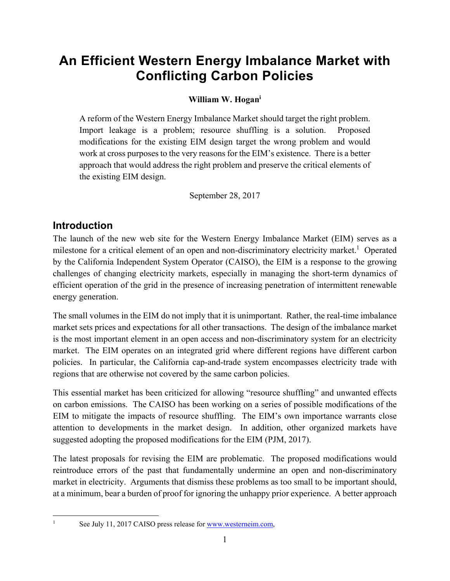# **An Efficient Western Energy Imbalance Market with Conflicting Carbon Policies**

### **William W. Hogani**

A reform of the Western Energy Imbalance Market should target the right problem. Import leakage is a problem; resource shuffling is a solution. Proposed modifications for the existing EIM design target the wrong problem and would work at cross purposes to the very reasons for the EIM's existence. There is a better approach that would address the right problem and preserve the critical elements of the existing EIM design.

September 28, 2017

# **Introduction**

The launch of the new web site for the Western Energy Imbalance Market (EIM) serves as a milestone for a critical element of an open and non-discriminatory electricity market.<sup>1</sup> Operated by the California Independent System Operator (CAISO), the EIM is a response to the growing challenges of changing electricity markets, especially in managing the short-term dynamics of efficient operation of the grid in the presence of increasing penetration of intermittent renewable energy generation.

The small volumes in the EIM do not imply that it is unimportant. Rather, the real-time imbalance market sets prices and expectations for all other transactions. The design of the imbalance market is the most important element in an open access and non-discriminatory system for an electricity market. The EIM operates on an integrated grid where different regions have different carbon policies. In particular, the California cap-and-trade system encompasses electricity trade with regions that are otherwise not covered by the same carbon policies.

This essential market has been criticized for allowing "resource shuffling" and unwanted effects on carbon emissions. The CAISO has been working on a series of possible modifications of the EIM to mitigate the impacts of resource shuffling. The EIM's own importance warrants close attention to developments in the market design. In addition, other organized markets have suggested adopting the proposed modifications for the EIM (PJM, 2017).

The latest proposals for revising the EIM are problematic. The proposed modifications would reintroduce errors of the past that fundamentally undermine an open and non-discriminatory market in electricity. Arguments that dismiss these problems as too small to be important should, at a minimum, bear a burden of proof for ignoring the unhappy prior experience. A better approach

 $\frac{1}{1}$ 

See July 11, 2017 CAISO press release for www.westerneim.com,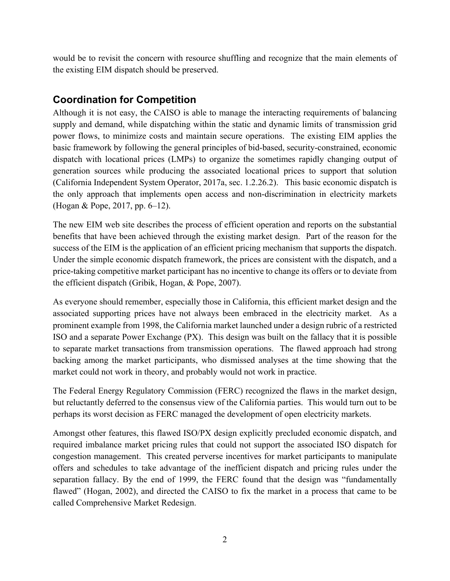would be to revisit the concern with resource shuffling and recognize that the main elements of the existing EIM dispatch should be preserved.

# **Coordination for Competition**

Although it is not easy, the CAISO is able to manage the interacting requirements of balancing supply and demand, while dispatching within the static and dynamic limits of transmission grid power flows, to minimize costs and maintain secure operations. The existing EIM applies the basic framework by following the general principles of bid-based, security-constrained, economic dispatch with locational prices (LMPs) to organize the sometimes rapidly changing output of generation sources while producing the associated locational prices to support that solution (California Independent System Operator, 2017a, sec. 1.2.26.2). This basic economic dispatch is the only approach that implements open access and non-discrimination in electricity markets (Hogan & Pope, 2017, pp. 6–12).

The new EIM web site describes the process of efficient operation and reports on the substantial benefits that have been achieved through the existing market design. Part of the reason for the success of the EIM is the application of an efficient pricing mechanism that supports the dispatch. Under the simple economic dispatch framework, the prices are consistent with the dispatch, and a price-taking competitive market participant has no incentive to change its offers or to deviate from the efficient dispatch (Gribik, Hogan, & Pope, 2007).

As everyone should remember, especially those in California, this efficient market design and the associated supporting prices have not always been embraced in the electricity market. As a prominent example from 1998, the California market launched under a design rubric of a restricted ISO and a separate Power Exchange (PX). This design was built on the fallacy that it is possible to separate market transactions from transmission operations. The flawed approach had strong backing among the market participants, who dismissed analyses at the time showing that the market could not work in theory, and probably would not work in practice.

The Federal Energy Regulatory Commission (FERC) recognized the flaws in the market design, but reluctantly deferred to the consensus view of the California parties. This would turn out to be perhaps its worst decision as FERC managed the development of open electricity markets.

Amongst other features, this flawed ISO/PX design explicitly precluded economic dispatch, and required imbalance market pricing rules that could not support the associated ISO dispatch for congestion management. This created perverse incentives for market participants to manipulate offers and schedules to take advantage of the inefficient dispatch and pricing rules under the separation fallacy. By the end of 1999, the FERC found that the design was "fundamentally flawed" (Hogan, 2002), and directed the CAISO to fix the market in a process that came to be called Comprehensive Market Redesign.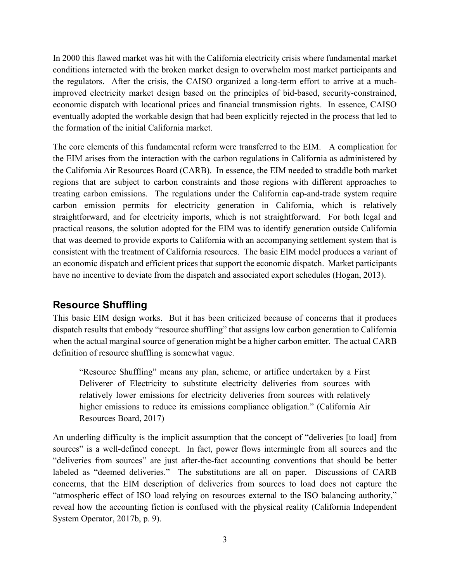In 2000 this flawed market was hit with the California electricity crisis where fundamental market conditions interacted with the broken market design to overwhelm most market participants and the regulators. After the crisis, the CAISO organized a long-term effort to arrive at a muchimproved electricity market design based on the principles of bid-based, security-constrained, economic dispatch with locational prices and financial transmission rights. In essence, CAISO eventually adopted the workable design that had been explicitly rejected in the process that led to the formation of the initial California market.

The core elements of this fundamental reform were transferred to the EIM. A complication for the EIM arises from the interaction with the carbon regulations in California as administered by the California Air Resources Board (CARB). In essence, the EIM needed to straddle both market regions that are subject to carbon constraints and those regions with different approaches to treating carbon emissions. The regulations under the California cap-and-trade system require carbon emission permits for electricity generation in California, which is relatively straightforward, and for electricity imports, which is not straightforward. For both legal and practical reasons, the solution adopted for the EIM was to identify generation outside California that was deemed to provide exports to California with an accompanying settlement system that is consistent with the treatment of California resources. The basic EIM model produces a variant of an economic dispatch and efficient prices that support the economic dispatch. Market participants have no incentive to deviate from the dispatch and associated export schedules (Hogan, 2013).

# **Resource Shuffling**

This basic EIM design works. But it has been criticized because of concerns that it produces dispatch results that embody "resource shuffling" that assigns low carbon generation to California when the actual marginal source of generation might be a higher carbon emitter. The actual CARB definition of resource shuffling is somewhat vague.

"Resource Shuffling" means any plan, scheme, or artifice undertaken by a First Deliverer of Electricity to substitute electricity deliveries from sources with relatively lower emissions for electricity deliveries from sources with relatively higher emissions to reduce its emissions compliance obligation." (California Air Resources Board, 2017)

An underling difficulty is the implicit assumption that the concept of "deliveries [to load] from sources" is a well-defined concept. In fact, power flows intermingle from all sources and the "deliveries from sources" are just after-the-fact accounting conventions that should be better labeled as "deemed deliveries." The substitutions are all on paper. Discussions of CARB concerns, that the EIM description of deliveries from sources to load does not capture the "atmospheric effect of ISO load relying on resources external to the ISO balancing authority," reveal how the accounting fiction is confused with the physical reality (California Independent System Operator, 2017b, p. 9).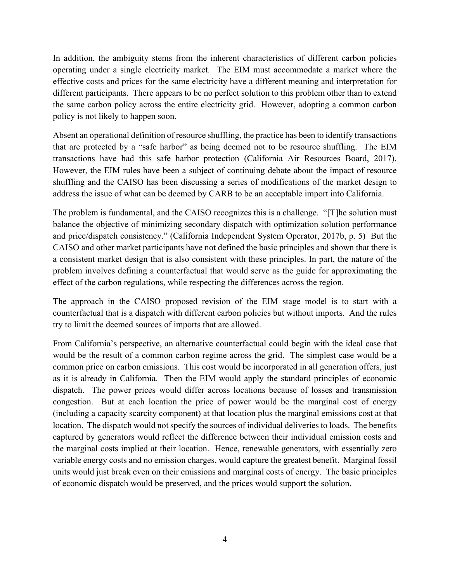In addition, the ambiguity stems from the inherent characteristics of different carbon policies operating under a single electricity market. The EIM must accommodate a market where the effective costs and prices for the same electricity have a different meaning and interpretation for different participants. There appears to be no perfect solution to this problem other than to extend the same carbon policy across the entire electricity grid. However, adopting a common carbon policy is not likely to happen soon.

Absent an operational definition of resource shuffling, the practice has been to identify transactions that are protected by a "safe harbor" as being deemed not to be resource shuffling. The EIM transactions have had this safe harbor protection (California Air Resources Board, 2017). However, the EIM rules have been a subject of continuing debate about the impact of resource shuffling and the CAISO has been discussing a series of modifications of the market design to address the issue of what can be deemed by CARB to be an acceptable import into California.

The problem is fundamental, and the CAISO recognizes this is a challenge. "[T]he solution must balance the objective of minimizing secondary dispatch with optimization solution performance and price/dispatch consistency." (California Independent System Operator, 2017b, p. 5) But the CAISO and other market participants have not defined the basic principles and shown that there is a consistent market design that is also consistent with these principles. In part, the nature of the problem involves defining a counterfactual that would serve as the guide for approximating the effect of the carbon regulations, while respecting the differences across the region.

The approach in the CAISO proposed revision of the EIM stage model is to start with a counterfactual that is a dispatch with different carbon policies but without imports. And the rules try to limit the deemed sources of imports that are allowed.

From California's perspective, an alternative counterfactual could begin with the ideal case that would be the result of a common carbon regime across the grid. The simplest case would be a common price on carbon emissions. This cost would be incorporated in all generation offers, just as it is already in California. Then the EIM would apply the standard principles of economic dispatch. The power prices would differ across locations because of losses and transmission congestion. But at each location the price of power would be the marginal cost of energy (including a capacity scarcity component) at that location plus the marginal emissions cost at that location. The dispatch would not specify the sources of individual deliveries to loads. The benefits captured by generators would reflect the difference between their individual emission costs and the marginal costs implied at their location. Hence, renewable generators, with essentially zero variable energy costs and no emission charges, would capture the greatest benefit. Marginal fossil units would just break even on their emissions and marginal costs of energy. The basic principles of economic dispatch would be preserved, and the prices would support the solution.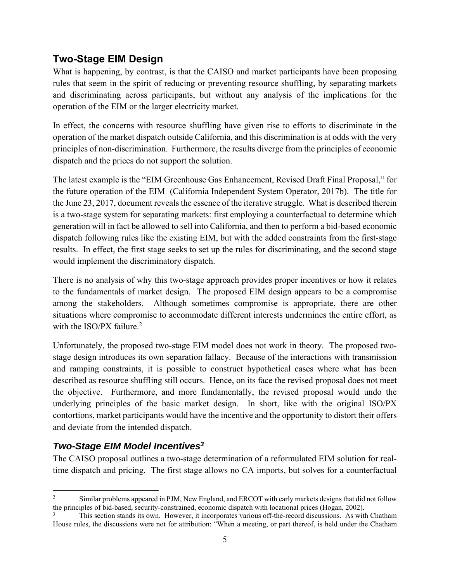# **Two-Stage EIM Design**

What is happening, by contrast, is that the CAISO and market participants have been proposing rules that seem in the spirit of reducing or preventing resource shuffling, by separating markets and discriminating across participants, but without any analysis of the implications for the operation of the EIM or the larger electricity market.

In effect, the concerns with resource shuffling have given rise to efforts to discriminate in the operation of the market dispatch outside California, and this discrimination is at odds with the very principles of non-discrimination. Furthermore, the results diverge from the principles of economic dispatch and the prices do not support the solution.

The latest example is the "EIM Greenhouse Gas Enhancement, Revised Draft Final Proposal," for the future operation of the EIM (California Independent System Operator, 2017b). The title for the June 23, 2017, document reveals the essence of the iterative struggle. What is described therein is a two-stage system for separating markets: first employing a counterfactual to determine which generation will in fact be allowed to sell into California, and then to perform a bid-based economic dispatch following rules like the existing EIM, but with the added constraints from the first-stage results. In effect, the first stage seeks to set up the rules for discriminating, and the second stage would implement the discriminatory dispatch.

There is no analysis of why this two-stage approach provides proper incentives or how it relates to the fundamentals of market design. The proposed EIM design appears to be a compromise among the stakeholders. Although sometimes compromise is appropriate, there are other situations where compromise to accommodate different interests undermines the entire effort, as with the ISO/PX failure. $2$ 

Unfortunately, the proposed two-stage EIM model does not work in theory. The proposed twostage design introduces its own separation fallacy. Because of the interactions with transmission and ramping constraints, it is possible to construct hypothetical cases where what has been described as resource shuffling still occurs. Hence, on its face the revised proposal does not meet the objective. Furthermore, and more fundamentally, the revised proposal would undo the underlying principles of the basic market design. In short, like with the original ISO/PX contortions, market participants would have the incentive and the opportunity to distort their offers and deviate from the intended dispatch.

# *Two-Stage EIM Model Incentives3*

 $\overline{a}$ 

The CAISO proposal outlines a two-stage determination of a reformulated EIM solution for realtime dispatch and pricing. The first stage allows no CA imports, but solves for a counterfactual

<sup>2</sup> Similar problems appeared in PJM, New England, and ERCOT with early markets designs that did not follow the principles of bid-based, security-constrained, economic dispatch with locational prices (Hogan, 2002).

<sup>3</sup> This section stands its own. However, it incorporates various off-the-record discussions. As with Chatham House rules, the discussions were not for attribution: "When a meeting, or part thereof, is held under the Chatham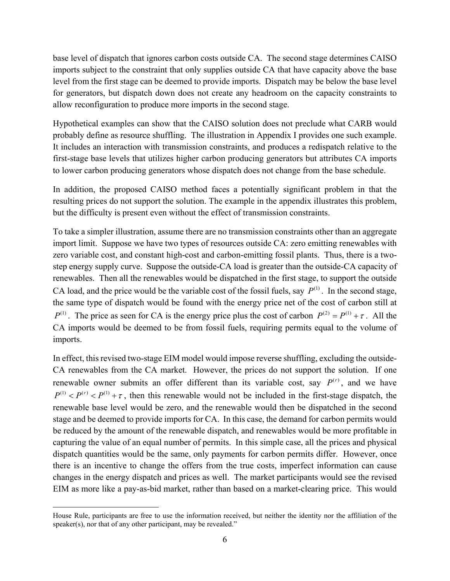base level of dispatch that ignores carbon costs outside CA. The second stage determines CAISO imports subject to the constraint that only supplies outside CA that have capacity above the base level from the first stage can be deemed to provide imports. Dispatch may be below the base level for generators, but dispatch down does not create any headroom on the capacity constraints to allow reconfiguration to produce more imports in the second stage.

Hypothetical examples can show that the CAISO solution does not preclude what CARB would probably define as resource shuffling. The illustration in Appendix I provides one such example. It includes an interaction with transmission constraints, and produces a redispatch relative to the first-stage base levels that utilizes higher carbon producing generators but attributes CA imports to lower carbon producing generators whose dispatch does not change from the base schedule.

In addition, the proposed CAISO method faces a potentially significant problem in that the resulting prices do not support the solution. The example in the appendix illustrates this problem, but the difficulty is present even without the effect of transmission constraints.

To take a simpler illustration, assume there are no transmission constraints other than an aggregate import limit. Suppose we have two types of resources outside CA: zero emitting renewables with zero variable cost, and constant high-cost and carbon-emitting fossil plants. Thus, there is a twostep energy supply curve. Suppose the outside-CA load is greater than the outside-CA capacity of renewables. Then all the renewables would be dispatched in the first stage, to support the outside CA load, and the price would be the variable cost of the fossil fuels, say  $P^{(1)}$ . In the second stage, the same type of dispatch would be found with the energy price net of the cost of carbon still at  $P^{(1)}$ . The price as seen for CA is the energy price plus the cost of carbon  $P^{(2)} = P^{(1)} + \tau$ . All the CA imports would be deemed to be from fossil fuels, requiring permits equal to the volume of imports.

In effect, this revised two-stage EIM model would impose reverse shuffling, excluding the outside-CA renewables from the CA market. However, the prices do not support the solution. If one renewable owner submits an offer different than its variable cost, say  $P^{(r)}$ , and we have  $P^{(1)} < P^{(1)} < P^{(1)} + \tau$ , then this renewable would not be included in the first-stage dispatch, the renewable base level would be zero, and the renewable would then be dispatched in the second stage and be deemed to provide imports for CA. In this case, the demand for carbon permits would be reduced by the amount of the renewable dispatch, and renewables would be more profitable in capturing the value of an equal number of permits. In this simple case, all the prices and physical dispatch quantities would be the same, only payments for carbon permits differ. However, once there is an incentive to change the offers from the true costs, imperfect information can cause changes in the energy dispatch and prices as well. The market participants would see the revised EIM as more like a pay-as-bid market, rather than based on a market-clearing price. This would

<u>.</u>

House Rule, participants are free to use the information received, but neither the identity nor the affiliation of the speaker(s), nor that of any other participant, may be revealed."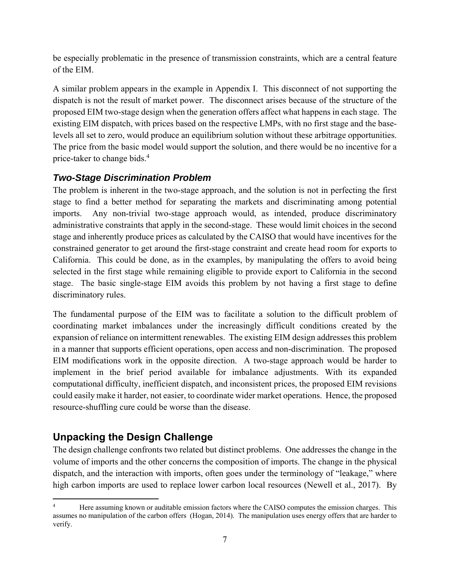be especially problematic in the presence of transmission constraints, which are a central feature of the EIM.

A similar problem appears in the example in Appendix I. This disconnect of not supporting the dispatch is not the result of market power. The disconnect arises because of the structure of the proposed EIM two-stage design when the generation offers affect what happens in each stage. The existing EIM dispatch, with prices based on the respective LMPs, with no first stage and the baselevels all set to zero, would produce an equilibrium solution without these arbitrage opportunities. The price from the basic model would support the solution, and there would be no incentive for a price-taker to change bids.4

# *Two-Stage Discrimination Problem*

The problem is inherent in the two-stage approach, and the solution is not in perfecting the first stage to find a better method for separating the markets and discriminating among potential imports. Any non-trivial two-stage approach would, as intended, produce discriminatory administrative constraints that apply in the second-stage. These would limit choices in the second stage and inherently produce prices as calculated by the CAISO that would have incentives for the constrained generator to get around the first-stage constraint and create head room for exports to California. This could be done, as in the examples, by manipulating the offers to avoid being selected in the first stage while remaining eligible to provide export to California in the second stage. The basic single-stage EIM avoids this problem by not having a first stage to define discriminatory rules.

The fundamental purpose of the EIM was to facilitate a solution to the difficult problem of coordinating market imbalances under the increasingly difficult conditions created by the expansion of reliance on intermittent renewables. The existing EIM design addresses this problem in a manner that supports efficient operations, open access and non-discrimination. The proposed EIM modifications work in the opposite direction. A two-stage approach would be harder to implement in the brief period available for imbalance adjustments. With its expanded computational difficulty, inefficient dispatch, and inconsistent prices, the proposed EIM revisions could easily make it harder, not easier, to coordinate wider market operations. Hence, the proposed resource-shuffling cure could be worse than the disease.

# **Unpacking the Design Challenge**

The design challenge confronts two related but distinct problems. One addresses the change in the volume of imports and the other concerns the composition of imports. The change in the physical dispatch, and the interaction with imports, often goes under the terminology of "leakage," where high carbon imports are used to replace lower carbon local resources (Newell et al., 2017). By

 $\overline{a}$ 4 Here assuming known or auditable emission factors where the CAISO computes the emission charges. This assumes no manipulation of the carbon offers (Hogan, 2014). The manipulation uses energy offers that are harder to verify.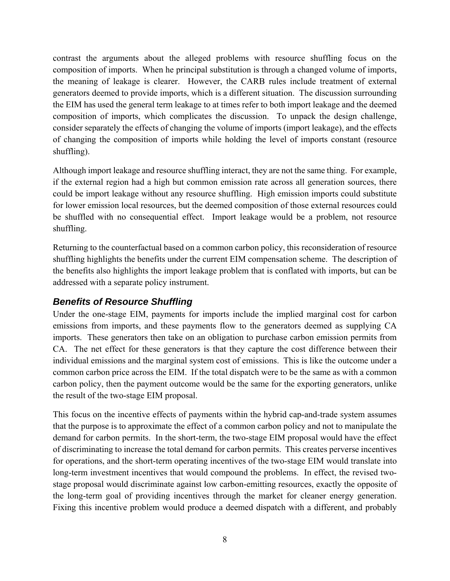contrast the arguments about the alleged problems with resource shuffling focus on the composition of imports. When he principal substitution is through a changed volume of imports, the meaning of leakage is clearer. However, the CARB rules include treatment of external generators deemed to provide imports, which is a different situation. The discussion surrounding the EIM has used the general term leakage to at times refer to both import leakage and the deemed composition of imports, which complicates the discussion. To unpack the design challenge, consider separately the effects of changing the volume of imports (import leakage), and the effects of changing the composition of imports while holding the level of imports constant (resource shuffling).

Although import leakage and resource shuffling interact, they are not the same thing. For example, if the external region had a high but common emission rate across all generation sources, there could be import leakage without any resource shuffling. High emission imports could substitute for lower emission local resources, but the deemed composition of those external resources could be shuffled with no consequential effect. Import leakage would be a problem, not resource shuffling.

Returning to the counterfactual based on a common carbon policy, this reconsideration of resource shuffling highlights the benefits under the current EIM compensation scheme. The description of the benefits also highlights the import leakage problem that is conflated with imports, but can be addressed with a separate policy instrument.

#### *Benefits of Resource Shuffling*

Under the one-stage EIM, payments for imports include the implied marginal cost for carbon emissions from imports, and these payments flow to the generators deemed as supplying CA imports. These generators then take on an obligation to purchase carbon emission permits from CA. The net effect for these generators is that they capture the cost difference between their individual emissions and the marginal system cost of emissions. This is like the outcome under a common carbon price across the EIM. If the total dispatch were to be the same as with a common carbon policy, then the payment outcome would be the same for the exporting generators, unlike the result of the two-stage EIM proposal.

This focus on the incentive effects of payments within the hybrid cap-and-trade system assumes that the purpose is to approximate the effect of a common carbon policy and not to manipulate the demand for carbon permits. In the short-term, the two-stage EIM proposal would have the effect of discriminating to increase the total demand for carbon permits. This creates perverse incentives for operations, and the short-term operating incentives of the two-stage EIM would translate into long-term investment incentives that would compound the problems. In effect, the revised twostage proposal would discriminate against low carbon-emitting resources, exactly the opposite of the long-term goal of providing incentives through the market for cleaner energy generation. Fixing this incentive problem would produce a deemed dispatch with a different, and probably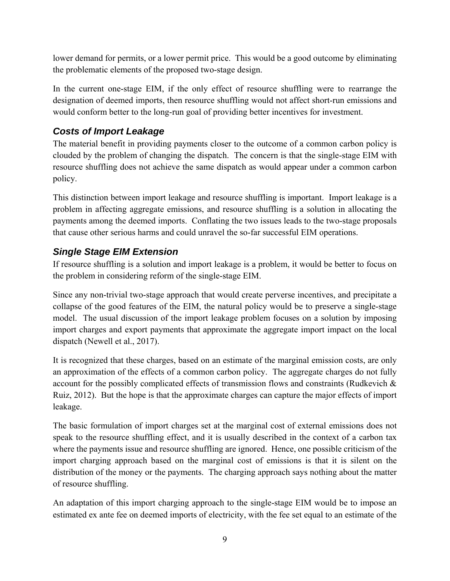lower demand for permits, or a lower permit price. This would be a good outcome by eliminating the problematic elements of the proposed two-stage design.

In the current one-stage EIM, if the only effect of resource shuffling were to rearrange the designation of deemed imports, then resource shuffling would not affect short-run emissions and would conform better to the long-run goal of providing better incentives for investment.

# *Costs of Import Leakage*

The material benefit in providing payments closer to the outcome of a common carbon policy is clouded by the problem of changing the dispatch. The concern is that the single-stage EIM with resource shuffling does not achieve the same dispatch as would appear under a common carbon policy.

This distinction between import leakage and resource shuffling is important. Import leakage is a problem in affecting aggregate emissions, and resource shuffling is a solution in allocating the payments among the deemed imports. Conflating the two issues leads to the two-stage proposals that cause other serious harms and could unravel the so-far successful EIM operations.

# *Single Stage EIM Extension*

If resource shuffling is a solution and import leakage is a problem, it would be better to focus on the problem in considering reform of the single-stage EIM.

Since any non-trivial two-stage approach that would create perverse incentives, and precipitate a collapse of the good features of the EIM, the natural policy would be to preserve a single-stage model. The usual discussion of the import leakage problem focuses on a solution by imposing import charges and export payments that approximate the aggregate import impact on the local dispatch (Newell et al., 2017).

It is recognized that these charges, based on an estimate of the marginal emission costs, are only an approximation of the effects of a common carbon policy. The aggregate charges do not fully account for the possibly complicated effects of transmission flows and constraints (Rudkevich & Ruiz, 2012). But the hope is that the approximate charges can capture the major effects of import leakage.

The basic formulation of import charges set at the marginal cost of external emissions does not speak to the resource shuffling effect, and it is usually described in the context of a carbon tax where the payments issue and resource shuffling are ignored. Hence, one possible criticism of the import charging approach based on the marginal cost of emissions is that it is silent on the distribution of the money or the payments. The charging approach says nothing about the matter of resource shuffling.

An adaptation of this import charging approach to the single-stage EIM would be to impose an estimated ex ante fee on deemed imports of electricity, with the fee set equal to an estimate of the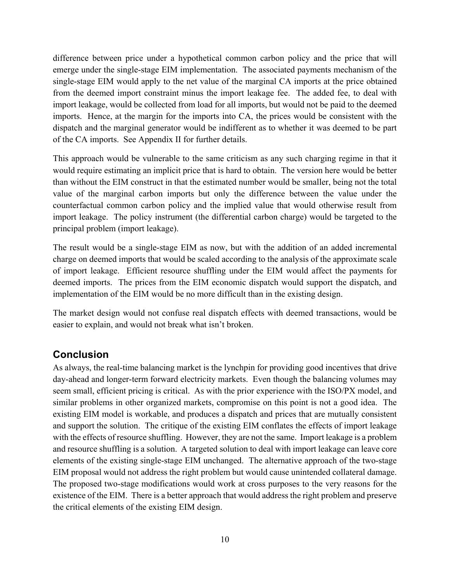difference between price under a hypothetical common carbon policy and the price that will emerge under the single-stage EIM implementation. The associated payments mechanism of the single-stage EIM would apply to the net value of the marginal CA imports at the price obtained from the deemed import constraint minus the import leakage fee. The added fee, to deal with import leakage, would be collected from load for all imports, but would not be paid to the deemed imports. Hence, at the margin for the imports into CA, the prices would be consistent with the dispatch and the marginal generator would be indifferent as to whether it was deemed to be part of the CA imports. See Appendix II for further details.

This approach would be vulnerable to the same criticism as any such charging regime in that it would require estimating an implicit price that is hard to obtain. The version here would be better than without the EIM construct in that the estimated number would be smaller, being not the total value of the marginal carbon imports but only the difference between the value under the counterfactual common carbon policy and the implied value that would otherwise result from import leakage. The policy instrument (the differential carbon charge) would be targeted to the principal problem (import leakage).

The result would be a single-stage EIM as now, but with the addition of an added incremental charge on deemed imports that would be scaled according to the analysis of the approximate scale of import leakage. Efficient resource shuffling under the EIM would affect the payments for deemed imports. The prices from the EIM economic dispatch would support the dispatch, and implementation of the EIM would be no more difficult than in the existing design.

The market design would not confuse real dispatch effects with deemed transactions, would be easier to explain, and would not break what isn't broken.

# **Conclusion**

As always, the real-time balancing market is the lynchpin for providing good incentives that drive day-ahead and longer-term forward electricity markets. Even though the balancing volumes may seem small, efficient pricing is critical. As with the prior experience with the ISO/PX model, and similar problems in other organized markets, compromise on this point is not a good idea. The existing EIM model is workable, and produces a dispatch and prices that are mutually consistent and support the solution. The critique of the existing EIM conflates the effects of import leakage with the effects of resource shuffling. However, they are not the same. Import leakage is a problem and resource shuffling is a solution. A targeted solution to deal with import leakage can leave core elements of the existing single-stage EIM unchanged. The alternative approach of the two-stage EIM proposal would not address the right problem but would cause unintended collateral damage. The proposed two-stage modifications would work at cross purposes to the very reasons for the existence of the EIM. There is a better approach that would address the right problem and preserve the critical elements of the existing EIM design.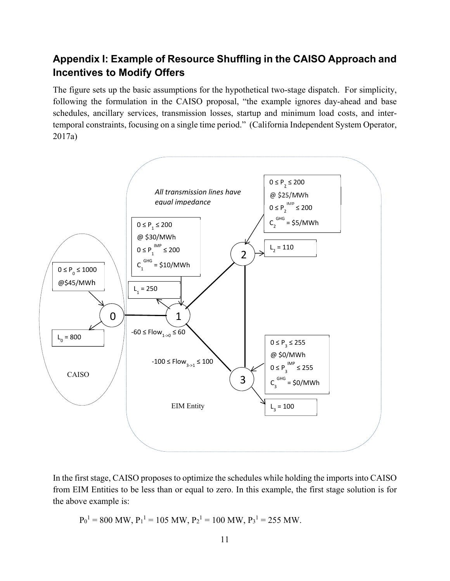# **Appendix I: Example of Resource Shuffling in the CAISO Approach and Incentives to Modify Offers**

The figure sets up the basic assumptions for the hypothetical two-stage dispatch. For simplicity, following the formulation in the CAISO proposal, "the example ignores day-ahead and base schedules, ancillary services, transmission losses, startup and minimum load costs, and intertemporal constraints, focusing on a single time period." (California Independent System Operator, 2017a)



In the first stage, CAISO proposes to optimize the schedules while holding the imports into CAISO from EIM Entities to be less than or equal to zero. In this example, the first stage solution is for the above example is:

$$
P_0^1 = 800
$$
 MW,  $P_1^1 = 105$  MW,  $P_2^1 = 100$  MW,  $P_3^1 = 255$  MW.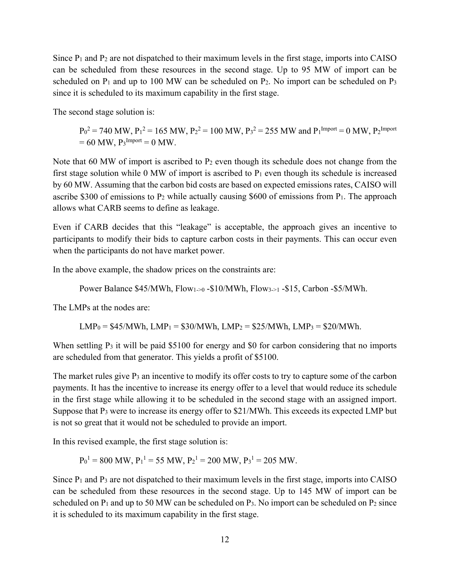Since P<sub>1</sub> and P<sub>2</sub> are not dispatched to their maximum levels in the first stage, imports into CAISO can be scheduled from these resources in the second stage. Up to 95 MW of import can be scheduled on  $P_1$  and up to 100 MW can be scheduled on  $P_2$ . No import can be scheduled on  $P_3$ since it is scheduled to its maximum capability in the first stage.

The second stage solution is:

 $P_0^2 = 740$  MW,  $P_1^2 = 165$  MW,  $P_2^2 = 100$  MW,  $P_3^2 = 255$  MW and  $P_1^{\text{Import}} = 0$  MW,  $P_2^{\text{Import}}$  $= 60$  MW,  $P_3$ <sup>Import</sup>  $= 0$  MW.

Note that 60 MW of import is ascribed to  $P_2$  even though its schedule does not change from the first stage solution while  $0$  MW of import is ascribed to  $P_1$  even though its schedule is increased by 60 MW. Assuming that the carbon bid costs are based on expected emissions rates, CAISO will ascribe \$300 of emissions to  $P_2$  while actually causing \$600 of emissions from  $P_1$ . The approach allows what CARB seems to define as leakage.

Even if CARB decides that this "leakage" is acceptable, the approach gives an incentive to participants to modify their bids to capture carbon costs in their payments. This can occur even when the participants do not have market power.

In the above example, the shadow prices on the constraints are:

Power Balance \$45/MWh, Flow1->0 -\$10/MWh, Flow3->1 -\$15, Carbon -\$5/MWh.

The LMPs at the nodes are:

$$
LMP_0 = $45/MWh, LMP_1 = $30/MWh, LMP_2 = $25/MWh, LMP_3 = $20/MWh.
$$

When settling P<sub>3</sub> it will be paid \$5100 for energy and \$0 for carbon considering that no imports are scheduled from that generator. This yields a profit of \$5100.

The market rules give  $P_3$  an incentive to modify its offer costs to try to capture some of the carbon payments. It has the incentive to increase its energy offer to a level that would reduce its schedule in the first stage while allowing it to be scheduled in the second stage with an assigned import. Suppose that P3 were to increase its energy offer to \$21/MWh. This exceeds its expected LMP but is not so great that it would not be scheduled to provide an import.

In this revised example, the first stage solution is:

$$
P_0^1 = 800
$$
 MW,  $P_1^1 = 55$  MW,  $P_2^1 = 200$  MW,  $P_3^1 = 205$  MW.

Since  $P_1$  and  $P_3$  are not dispatched to their maximum levels in the first stage, imports into CAISO can be scheduled from these resources in the second stage. Up to 145 MW of import can be scheduled on  $P_1$  and up to 50 MW can be scheduled on  $P_3$ . No import can be scheduled on  $P_2$  since it is scheduled to its maximum capability in the first stage.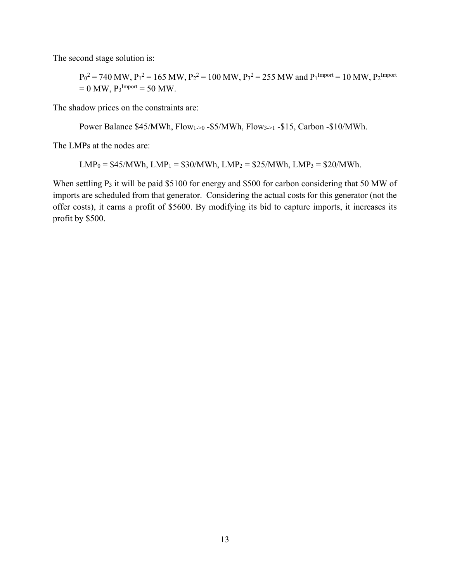The second stage solution is:

 $P_0^2 = 740$  MW,  $P_1^2 = 165$  MW,  $P_2^2 = 100$  MW,  $P_3^2 = 255$  MW and  $P_1^{\text{Import}} = 10$  MW,  $P_2^{\text{Import}}$  $= 0$  MW,  $P_3$ <sup>Import</sup>  $= 50$  MW.

The shadow prices on the constraints are:

Power Balance \$45/MWh, Flow<sub>1</sub>->0 -\$5/MWh, Flow<sub>3</sub>->1 -\$15, Carbon -\$10/MWh.

The LMPs at the nodes are:

 $LMP_0 = $45/MWh$ ,  $LMP_1 = $30/MWh$ ,  $LMP_2 = $25/MWh$ ,  $LMP_3 = $20/MWh$ .

When settling P<sub>3</sub> it will be paid \$5100 for energy and \$500 for carbon considering that 50 MW of imports are scheduled from that generator. Considering the actual costs for this generator (not the offer costs), it earns a profit of \$5600. By modifying its bid to capture imports, it increases its profit by \$500.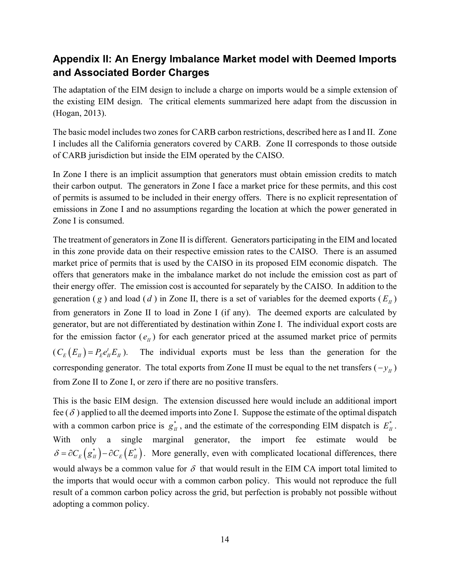# **Appendix II: An Energy Imbalance Market model with Deemed Imports and Associated Border Charges**

The adaptation of the EIM design to include a charge on imports would be a simple extension of the existing EIM design. The critical elements summarized here adapt from the discussion in (Hogan, 2013).

The basic model includes two zones for CARB carbon restrictions, described here as I and II. Zone I includes all the California generators covered by CARB. Zone II corresponds to those outside of CARB jurisdiction but inside the EIM operated by the CAISO.

In Zone I there is an implicit assumption that generators must obtain emission credits to match their carbon output. The generators in Zone I face a market price for these permits, and this cost of permits is assumed to be included in their energy offers. There is no explicit representation of emissions in Zone I and no assumptions regarding the location at which the power generated in Zone I is consumed.

The treatment of generators in Zone II is different. Generators participating in the EIM and located in this zone provide data on their respective emission rates to the CAISO. There is an assumed market price of permits that is used by the CAISO in its proposed EIM economic dispatch. The offers that generators make in the imbalance market do not include the emission cost as part of their energy offer. The emission cost is accounted for separately by the CAISO. In addition to the generation (g) and load (d) in Zone II, there is a set of variables for the deemed exports ( $E_{II}$ ) from generators in Zone II to load in Zone I (if any). The deemed exports are calculated by generator, but are not differentiated by destination within Zone I. The individual export costs are for the emission factor  $(e_{II})$  for each generator priced at the assumed market price of permits  $(C_E(E_{II}) = P_E e^t_{II} E_{II})$ . The individual exports must be less than the generation for the corresponding generator. The total exports from Zone II must be equal to the net transfers  $(-y_{II})$ from Zone II to Zone I, or zero if there are no positive transfers.

This is the basic EIM design. The extension discussed here would include an additional import fee  $(\delta)$  applied to all the deemed imports into Zone I. Suppose the estimate of the optimal dispatch with a common carbon price is  $g_{II}^*$ , and the estimate of the corresponding EIM dispatch is  $E_I^*$ . With only a single marginal generator, the import fee estimate would be  $\delta = \partial C_E(g_{\mu}^*) - \partial C_E(E_{\mu}^*)$ . More generally, even with complicated locational differences, there would always be a common value for  $\delta$  that would result in the EIM CA import total limited to the imports that would occur with a common carbon policy. This would not reproduce the full result of a common carbon policy across the grid, but perfection is probably not possible without adopting a common policy.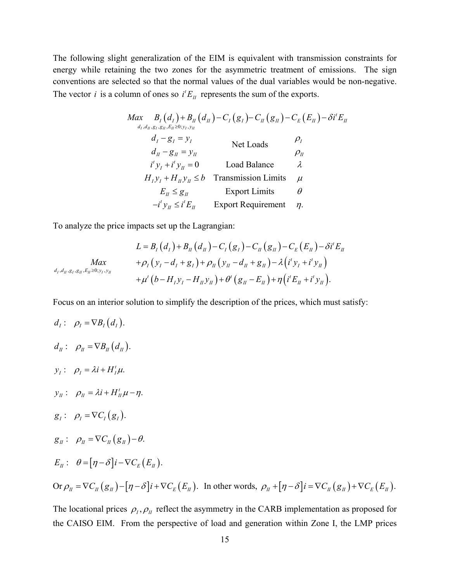The following slight generalization of the EIM is equivalent with transmission constraints for energy while retaining the two zones for the asymmetric treatment of emissions. The sign conventions are selected so that the normal values of the dual variables would be non-negative. The vector *i* is a column of ones so  $i^t E_{II}$  represents the sum of the exports.

$$
Max BI (dI) + BII (dII) – CI (gI) – CII (gII) – CE (EII) – δit EII
$$
  
\n
$$
dI - gI = yI
$$
  
\n
$$
dII - gII = yII
$$
  
\n
$$
ityI + ityII = 0
$$
  
\n
$$
HIyI + HIIyII ≤ b
$$
 Transmission Limits  
\n
$$
EII ≤ gII
$$
  
\nExport Limits  
\n
$$
dII
$$

To analyze the price impacts set up the Lagrangian:

$$
L = B_{I}(d_{I}) + B_{II}(d_{II}) - C_{I}(g_{I}) - C_{II}(g_{II}) - C_{E}(E_{II}) - \delta i^{t} E_{II}
$$
  
\n
$$
+ \rho_{I}(y_{I} - d_{I} + g_{I}) + \rho_{II}(y_{II} - d_{II} + g_{II}) - \lambda (i^{t} y_{I} + i^{t} y_{II})
$$
  
\n
$$
+ \mu^{t} (b - H_{I} y_{I} - H_{II} y_{II}) + \theta^{t} (g_{II} - E_{II}) + \eta (i^{t} E_{II} + i^{t} y_{II}).
$$

Focus on an interior solution to simplify the description of the prices, which must satisfy:

 $d_i$ :  $\rho_i = \nabla B_i(d_i)$ .  $d_{\scriptscriptstyle H}$ :  $\rho_{\scriptscriptstyle H} = \nabla B_{\scriptscriptstyle H}(d_{\scriptscriptstyle H}).$  $y_I: \rho_I = \lambda i + H_I^t \mu.$  $y_{II}: \rho_{II} = \lambda i + H^t_{II} \mu - \eta.$  $g_i: \rho_i = \nabla C_i(g_i).$  $g_{\scriptscriptstyle \text{II}}$ :  $\rho_{\scriptscriptstyle \text{II}} = \nabla C_{\scriptscriptstyle \text{II}}(g_{\scriptscriptstyle \text{II}}) - \theta$ .  $E_{II}: \theta = \left[\eta - \delta\right]i - \nabla C_{E}\left(E_{II}\right).$ Or  $\rho_{II} = \nabla C_{II} (g_{II}) - [\eta - \delta] i + \nabla C_{E} (E_{II})$ . In other words,  $\rho_{II} + [\eta - \delta] i = \nabla C_{II} (g_{II}) + \nabla C_{E} (E_{II})$ .

The locational prices  $\rho_I$ ,  $\rho_I$  reflect the asymmetry in the CARB implementation as proposed for the CAISO EIM. From the perspective of load and generation within Zone I, the LMP prices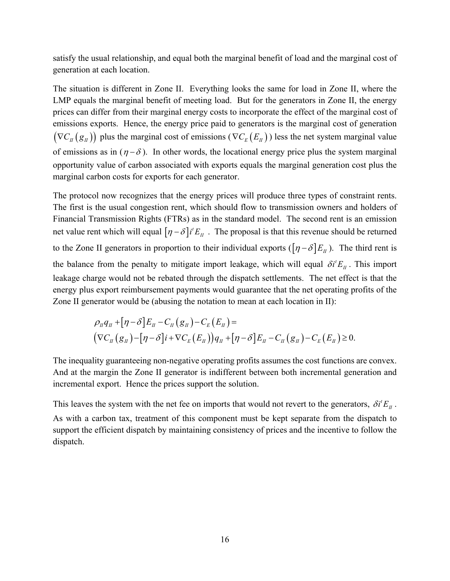satisfy the usual relationship, and equal both the marginal benefit of load and the marginal cost of generation at each location.

The situation is different in Zone II. Everything looks the same for load in Zone II, where the LMP equals the marginal benefit of meeting load. But for the generators in Zone II, the energy prices can differ from their marginal energy costs to incorporate the effect of the marginal cost of emissions exports. Hence, the energy price paid to generators is the marginal cost of generation  $(\nabla C_{II}(g_{II}))$  plus the marginal cost of emissions ( $\nabla C_{E}(E_{II})$ ) less the net system marginal value of emissions as in  $(\eta - \delta)$ . In other words, the locational energy price plus the system marginal opportunity value of carbon associated with exports equals the marginal generation cost plus the marginal carbon costs for exports for each generator.

The protocol now recognizes that the energy prices will produce three types of constraint rents. The first is the usual congestion rent, which should flow to transmission owners and holders of Financial Transmission Rights (FTRs) as in the standard model. The second rent is an emission net value rent which will equal  $[\eta - \delta]$  *i*' $E_{\mu}$ . The proposal is that this revenue should be returned to the Zone II generators in proportion to their individual exports  $(\lfloor \eta - \delta \rfloor E_{II})$ . The third rent is the balance from the penalty to mitigate import leakage, which will equal  $\delta i^t E_{\mu}$ . This import leakage charge would not be rebated through the dispatch settlements. The net effect is that the energy plus export reimbursement payments would guarantee that the net operating profits of the Zone II generator would be (abusing the notation to mean at each location in II):

$$
\rho_{\Pi}q_{\Pi} + [\eta - \delta]E_{\Pi} - C_{\Pi}(g_{\Pi}) - C_{E}(E_{\Pi}) =
$$
\n
$$
(\nabla C_{\Pi}(g_{\Pi}) - [\eta - \delta]i + \nabla C_{E}(E_{\Pi}))q_{\Pi} + [\eta - \delta]E_{\Pi} - C_{\Pi}(g_{\Pi}) - C_{E}(E_{\Pi}) \ge 0.
$$

The inequality guaranteeing non-negative operating profits assumes the cost functions are convex. And at the margin the Zone II generator is indifferent between both incremental generation and incremental export. Hence the prices support the solution.

This leaves the system with the net fee on imports that would not revert to the generators,  $\delta i^t E_{\mu}$ . As with a carbon tax, treatment of this component must be kept separate from the dispatch to support the efficient dispatch by maintaining consistency of prices and the incentive to follow the dispatch.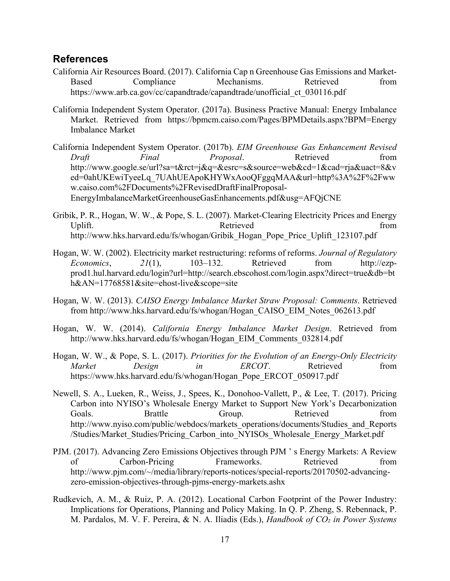#### **References**

- California Air Resources Board. (2017). California Cap n Greenhouse Gas Emissions and Market-Based Compliance Mechanisms. Retrieved from https://www.arb.ca.gov/cc/capandtrade/capandtrade/unofficial\_ct\_030116.pdf
- California Independent System Operator. (2017a). Business Practive Manual: Energy Imbalance Market. Retrieved from https://bpmcm.caiso.com/Pages/BPMDetails.aspx?BPM=Energy Imbalance Market
- California Independent System Operator. (2017b). *EIM Greenhouse Gas Enhancement Revised Draft Final Proposal*. Retrieved from http://www.google.se/url?sa=t&rct=j&q=&esrc=s&source=web&cd=1&cad=rja&uact=8&v ed=0ahUKEwiTyeeLq\_7UAhUEApoKHYWxAooQFggqMAA&url=http%3A%2F%2Fww w.caiso.com%2FDocuments%2FRevisedDraftFinalProposal-EnergyImbalanceMarketGreenhouseGasEnhancements.pdf&usg=AFQjCNE
- Gribik, P. R., Hogan, W. W., & Pope, S. L. (2007). Market-Clearing Electricity Prices and Energy Uplift. Communication of the Retrieved from the Retrieved from the set of the Second Second Second Second Second Second Second Second Second Second Second Second Second Second Second Second Second Second Second Second Seco http://www.hks.harvard.edu/fs/whogan/Gribik\_Hogan\_Pope\_Price\_Uplift\_123107.pdf
- Hogan, W. W. (2002). Electricity market restructuring: reforms of reforms. *Journal of Regulatory Economics*, *21*(1), 103–132. Retrieved from http://ezpprod1.hul.harvard.edu/login?url=http://search.ebscohost.com/login.aspx?direct=true&db=bt h&AN=17768581&site=ehost-live&scope=site
- Hogan, W. W. (2013). *CAISO Energy Imbalance Market Straw Proposal: Comments*. Retrieved from http://www.hks.harvard.edu/fs/whogan/Hogan\_CAISO\_EIM\_Notes\_062613.pdf
- Hogan, W. W. (2014). *California Energy Imbalance Market Design*. Retrieved from http://www.hks.harvard.edu/fs/whogan/Hogan\_EIM\_Comments\_032814.pdf
- Hogan, W. W., & Pope, S. L. (2017). *Priorities for the Evolution of an Energy-Only Electricity Market Design in ERCOT*. Retrieved from https://www.hks.harvard.edu/fs/whogan/Hogan\_Pope\_ERCOT\_050917.pdf
- Newell, S. A., Lueken, R., Weiss, J., Spees, K., Donohoo-Vallett, P., & Lee, T. (2017). Pricing Carbon into NYISO's Wholesale Energy Market to Support New York's Decarbonization Goals. Brattle Group. Retrieved from http://www.nyiso.com/public/webdocs/markets\_operations/documents/Studies\_and\_Reports /Studies/Market\_Studies/Pricing\_Carbon\_into\_NYISOs\_Wholesale\_Energy\_Market.pdf
- PJM. (2017). Advancing Zero Emissions Objectives through PJM ' s Energy Markets: A Review of Carbon-Pricing Frameworks. Retrieved from http://www.pjm.com/~/media/library/reports-notices/special-reports/20170502-advancingzero-emission-objectives-through-pjms-energy-markets.ashx
- Rudkevich, A. M., & Ruiz, P. A. (2012). Locational Carbon Footprint of the Power Industry: Implications for Operations, Planning and Policy Making. In Q. P. Zheng, S. Rebennack, P. M. Pardalos, M. V. F. Pereira, & N. A. Iliadis (Eds.), *Handbook of CO₂ in Power Systems*